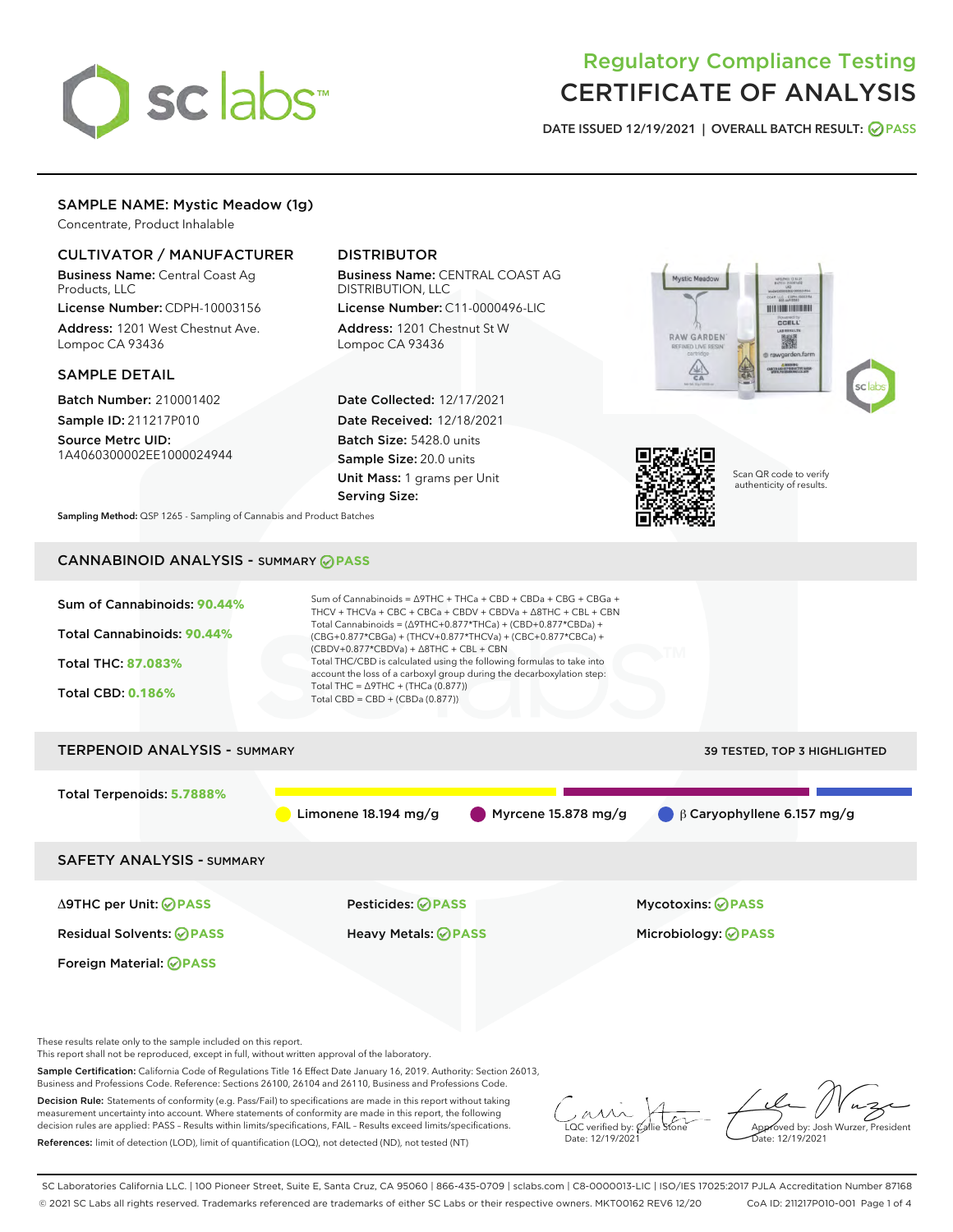

# Regulatory Compliance Testing CERTIFICATE OF ANALYSIS

DATE ISSUED 12/19/2021 | OVERALL BATCH RESULT: @ PASS

# SAMPLE NAME: Mystic Meadow (1g)

Concentrate, Product Inhalable

## CULTIVATOR / MANUFACTURER

Business Name: Central Coast Ag Products, LLC

License Number: CDPH-10003156 Address: 1201 West Chestnut Ave. Lompoc CA 93436

#### SAMPLE DETAIL

Batch Number: 210001402 Sample ID: 211217P010

Source Metrc UID: 1A4060300002EE1000024944

# DISTRIBUTOR

Business Name: CENTRAL COAST AG DISTRIBUTION, LLC

License Number: C11-0000496-LIC Address: 1201 Chestnut St W Lompoc CA 93436

Date Collected: 12/17/2021 Date Received: 12/18/2021 Batch Size: 5428.0 units Sample Size: 20.0 units Unit Mass: 1 grams per Unit Serving Size:







Scan QR code to verify authenticity of results.

Sampling Method: QSP 1265 - Sampling of Cannabis and Product Batches

# CANNABINOID ANALYSIS - SUMMARY **PASS**



Sample Certification: California Code of Regulations Title 16 Effect Date January 16, 2019. Authority: Section 26013, Business and Professions Code. Reference: Sections 26100, 26104 and 26110, Business and Professions Code.

Decision Rule: Statements of conformity (e.g. Pass/Fail) to specifications are made in this report without taking measurement uncertainty into account. Where statements of conformity are made in this report, the following decision rules are applied: PASS – Results within limits/specifications, FAIL – Results exceed limits/specifications. References: limit of detection (LOD), limit of quantification (LOQ), not detected (ND), not tested (NT)

 $\overline{\text{LOC}}$  verified by:  $\mathcal{C}$ Date: 12/19/2021

**A**<br>Approved by: Josh Wurzer, President ate: 12/19/2021

SC Laboratories California LLC. | 100 Pioneer Street, Suite E, Santa Cruz, CA 95060 | 866-435-0709 | sclabs.com | C8-0000013-LIC | ISO/IES 17025:2017 PJLA Accreditation Number 87168 © 2021 SC Labs all rights reserved. Trademarks referenced are trademarks of either SC Labs or their respective owners. MKT00162 REV6 12/20 CoA ID: 211217P010-001 Page 1 of 4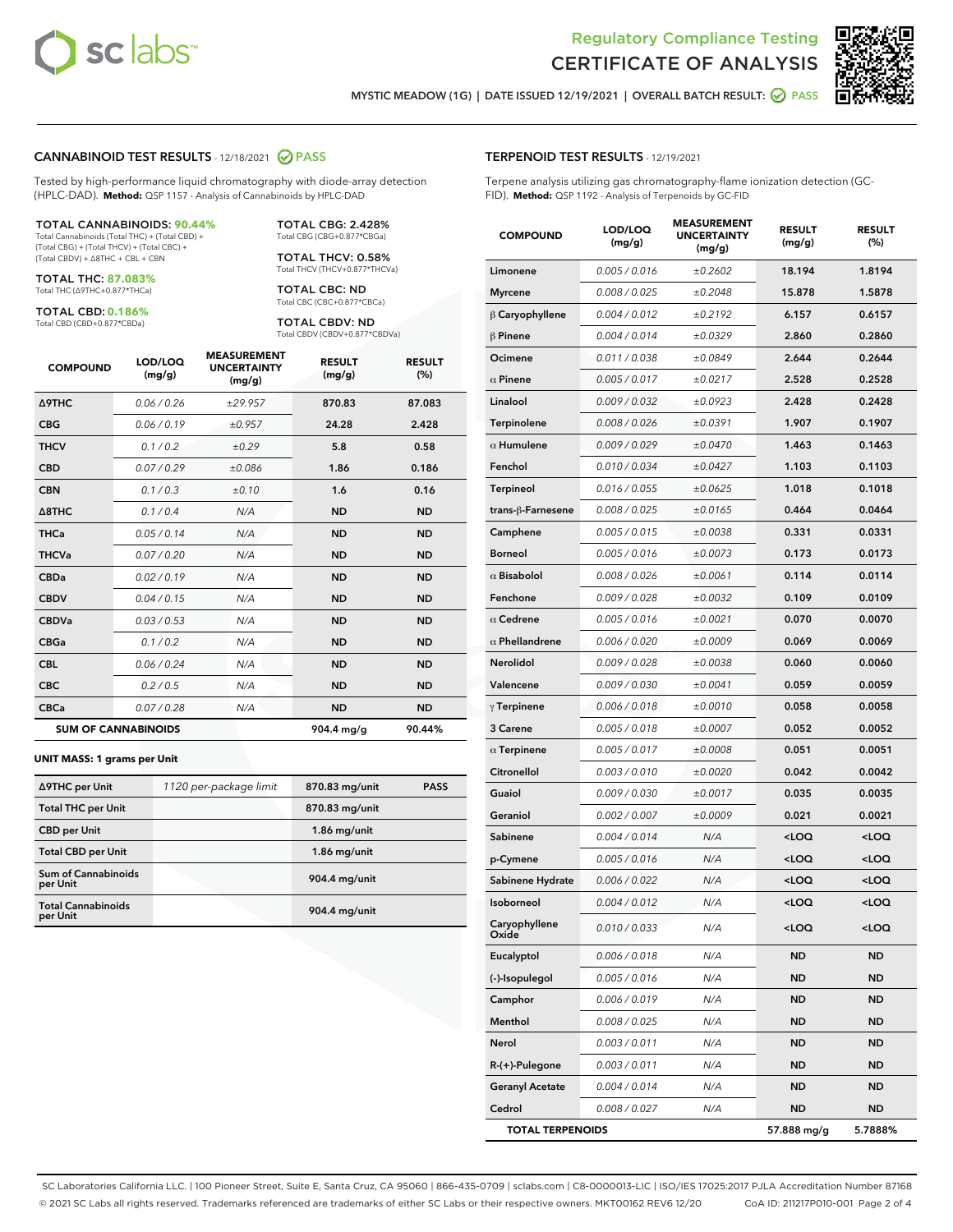



MYSTIC MEADOW (1G) | DATE ISSUED 12/19/2021 | OVERALL BATCH RESULT: **⊘** PASS

#### CANNABINOID TEST RESULTS - 12/18/2021 2 PASS

Tested by high-performance liquid chromatography with diode-array detection (HPLC-DAD). **Method:** QSP 1157 - Analysis of Cannabinoids by HPLC-DAD

#### TOTAL CANNABINOIDS: **90.44%**

Total Cannabinoids (Total THC) + (Total CBD) + (Total CBG) + (Total THCV) + (Total CBC) + (Total CBDV) + ∆8THC + CBL + CBN

TOTAL THC: **87.083%** Total THC (∆9THC+0.877\*THCa)

TOTAL CBD: **0.186%**

Total CBD (CBD+0.877\*CBDa)

TOTAL CBG: 2.428% Total CBG (CBG+0.877\*CBGa)

TOTAL THCV: 0.58% Total THCV (THCV+0.877\*THCVa)

TOTAL CBC: ND Total CBC (CBC+0.877\*CBCa)

TOTAL CBDV: ND Total CBDV (CBDV+0.877\*CBDVa)

| <b>COMPOUND</b>  | LOD/LOQ<br>(mg/g)          | <b>MEASUREMENT</b><br><b>UNCERTAINTY</b><br>(mg/g) | <b>RESULT</b><br>(mg/g) | <b>RESULT</b><br>(%) |
|------------------|----------------------------|----------------------------------------------------|-------------------------|----------------------|
| <b>A9THC</b>     | 0.06 / 0.26                | ±29.957                                            | 870.83                  | 87.083               |
| <b>CBG</b>       | 0.06/0.19                  | ±0.957                                             | 24.28                   | 2.428                |
| <b>THCV</b>      | 0.1 / 0.2                  | ±0.29                                              | 5.8                     | 0.58                 |
| <b>CBD</b>       | 0.07/0.29                  | ±0.086                                             | 1.86                    | 0.186                |
| <b>CBN</b>       | 0.1 / 0.3                  | $\pm 0.10$                                         | 1.6                     | 0.16                 |
| $\triangle$ 8THC | 0.1 / 0.4                  | N/A                                                | <b>ND</b>               | <b>ND</b>            |
| THCa             | 0.05/0.14                  | N/A                                                | <b>ND</b>               | <b>ND</b>            |
| <b>THCVa</b>     | 0.07/0.20                  | N/A                                                | <b>ND</b>               | <b>ND</b>            |
| <b>CBDa</b>      | 0.02/0.19                  | N/A                                                | <b>ND</b>               | <b>ND</b>            |
| <b>CBDV</b>      | 0.04 / 0.15                | N/A                                                | <b>ND</b>               | <b>ND</b>            |
| <b>CBDVa</b>     | 0.03/0.53                  | N/A                                                | <b>ND</b>               | <b>ND</b>            |
| <b>CBGa</b>      | 0.1 / 0.2                  | N/A                                                | <b>ND</b>               | <b>ND</b>            |
| <b>CBL</b>       | 0.06 / 0.24                | N/A                                                | <b>ND</b>               | <b>ND</b>            |
| <b>CBC</b>       | 0.2 / 0.5                  | N/A                                                | <b>ND</b>               | <b>ND</b>            |
| <b>CBCa</b>      | 0.07/0.28                  | N/A                                                | <b>ND</b>               | <b>ND</b>            |
|                  | <b>SUM OF CANNABINOIDS</b> |                                                    | 904.4 mg/g              | 90.44%               |

#### **UNIT MASS: 1 grams per Unit**

| ∆9THC per Unit                         | 1120 per-package limit | 870.83 mg/unit | <b>PASS</b> |
|----------------------------------------|------------------------|----------------|-------------|
| <b>Total THC per Unit</b>              |                        | 870.83 mg/unit |             |
| <b>CBD per Unit</b>                    |                        | $1.86$ mg/unit |             |
| <b>Total CBD per Unit</b>              |                        | $1.86$ mg/unit |             |
| <b>Sum of Cannabinoids</b><br>per Unit |                        | 904.4 mg/unit  |             |
| <b>Total Cannabinoids</b><br>per Unit  |                        | 904.4 mg/unit  |             |

| <b>COMPOUND</b>         | LOD/LOQ<br>(mg/g) | <b>MEASUREMENT</b><br><b>UNCERTAINTY</b><br>(mg/g) | <b>RESULT</b><br>(mg/g)                          | <b>RESULT</b><br>$(\%)$ |
|-------------------------|-------------------|----------------------------------------------------|--------------------------------------------------|-------------------------|
| Limonene                | 0.005 / 0.016     | ±0.2602                                            | 18.194                                           | 1.8194                  |
| <b>Myrcene</b>          | 0.008 / 0.025     | ±0.2048                                            | 15.878                                           | 1.5878                  |
| $\beta$ Caryophyllene   | 0.004 / 0.012     | ±0.2192                                            | 6.157                                            | 0.6157                  |
| $\beta$ Pinene          | 0.004 / 0.014     | ±0.0329                                            | 2.860                                            | 0.2860                  |
| Ocimene                 | 0.011 / 0.038     | ±0.0849                                            | 2.644                                            | 0.2644                  |
| $\alpha$ Pinene         | 0.005 / 0.017     | ±0.0217                                            | 2.528                                            | 0.2528                  |
| Linalool                | 0.009 / 0.032     | ±0.0923                                            | 2.428                                            | 0.2428                  |
| Terpinolene             | 0.008 / 0.026     | ±0.0391                                            | 1.907                                            | 0.1907                  |
| $\alpha$ Humulene       | 0.009/0.029       | ±0.0470                                            | 1.463                                            | 0.1463                  |
| Fenchol                 | 0.010 / 0.034     | ±0.0427                                            | 1.103                                            | 0.1103                  |
| <b>Terpineol</b>        | 0.016 / 0.055     | ±0.0625                                            | 1.018                                            | 0.1018                  |
| trans-ß-Farnesene       | 0.008 / 0.025     | ±0.0165                                            | 0.464                                            | 0.0464                  |
| Camphene                | 0.005 / 0.015     | ±0.0038                                            | 0.331                                            | 0.0331                  |
| <b>Borneol</b>          | 0.005 / 0.016     | ±0.0073                                            | 0.173                                            | 0.0173                  |
| $\alpha$ Bisabolol      | 0.008 / 0.026     | ±0.0061                                            | 0.114                                            | 0.0114                  |
| Fenchone                | 0.009 / 0.028     | ±0.0032                                            | 0.109                                            | 0.0109                  |
| $\alpha$ Cedrene        | 0.005 / 0.016     | ±0.0021                                            | 0.070                                            | 0.0070                  |
| $\alpha$ Phellandrene   | 0.006 / 0.020     | ±0.0009                                            | 0.069                                            | 0.0069                  |
| <b>Nerolidol</b>        | 0.009 / 0.028     | ±0.0038                                            | 0.060                                            | 0.0060                  |
| Valencene               | 0.009 / 0.030     | ±0.0041                                            | 0.059                                            | 0.0059                  |
| $\gamma$ Terpinene      | 0.006 / 0.018     | ±0.0010                                            | 0.058                                            | 0.0058                  |
| 3 Carene                | 0.005 / 0.018     | ±0.0007                                            | 0.052                                            | 0.0052                  |
| $\alpha$ Terpinene      | 0.005 / 0.017     | ±0.0008                                            | 0.051                                            | 0.0051                  |
| Citronellol             | 0.003 / 0.010     | ±0.0020                                            | 0.042                                            | 0.0042                  |
| Guaiol                  | 0.009 / 0.030     | ±0.0017                                            | 0.035                                            | 0.0035                  |
| Geraniol                | 0.002 / 0.007     | ±0.0009                                            | 0.021                                            | 0.0021                  |
| Sabinene                | 0.004 / 0.014     | N/A                                                | <loq< th=""><th><loq< th=""></loq<></th></loq<>  | <loq< th=""></loq<>     |
| p-Cymene                | 0.005 / 0.016     | N/A                                                | <loq< th=""><th><math>&lt;</math>LOQ</th></loq<> | $<$ LOQ                 |
| Sabinene Hydrate        | 0.006 / 0.022     | N/A                                                | <loq< th=""><th><loq< th=""></loq<></th></loq<>  | <loq< th=""></loq<>     |
| Isoborneol              | 0.004 / 0.012     | N/A                                                | <loq< th=""><th><loq< th=""></loq<></th></loq<>  | <loq< th=""></loq<>     |
| Caryophyllene<br>Oxide  | 0.010 / 0.033     | N/A                                                | <loq< th=""><th><loq< th=""></loq<></th></loq<>  | <loq< th=""></loq<>     |
| Eucalyptol              | 0.006 / 0.018     | N/A                                                | ND                                               | <b>ND</b>               |
| (-)-Isopulegol          | 0.005 / 0.016     | N/A                                                | ND                                               | ND                      |
| Camphor                 | 0.006 / 0.019     | N/A                                                | ND                                               | <b>ND</b>               |
| Menthol                 | 0.008 / 0.025     | N/A                                                | ND                                               | ND                      |
| Nerol                   | 0.003 / 0.011     | N/A                                                | ND                                               | ND                      |
| $R-(+)$ -Pulegone       | 0.003 / 0.011     | N/A                                                | ND                                               | <b>ND</b>               |
| <b>Geranyl Acetate</b>  | 0.004 / 0.014     | N/A                                                | ND                                               | ND                      |
| Cedrol                  | 0.008 / 0.027     | N/A                                                | ND                                               | ND                      |
| <b>TOTAL TERPENOIDS</b> |                   |                                                    | 57.888 mg/g                                      | 5.7888%                 |

SC Laboratories California LLC. | 100 Pioneer Street, Suite E, Santa Cruz, CA 95060 | 866-435-0709 | sclabs.com | C8-0000013-LIC | ISO/IES 17025:2017 PJLA Accreditation Number 87168 © 2021 SC Labs all rights reserved. Trademarks referenced are trademarks of either SC Labs or their respective owners. MKT00162 REV6 12/20 CoA ID: 211217P010-001 Page 2 of 4

# TERPENOID TEST RESULTS - 12/19/2021

Terpene analysis utilizing gas chromatography-flame ionization detection (GC-FID). **Method:** QSP 1192 - Analysis of Terpenoids by GC-FID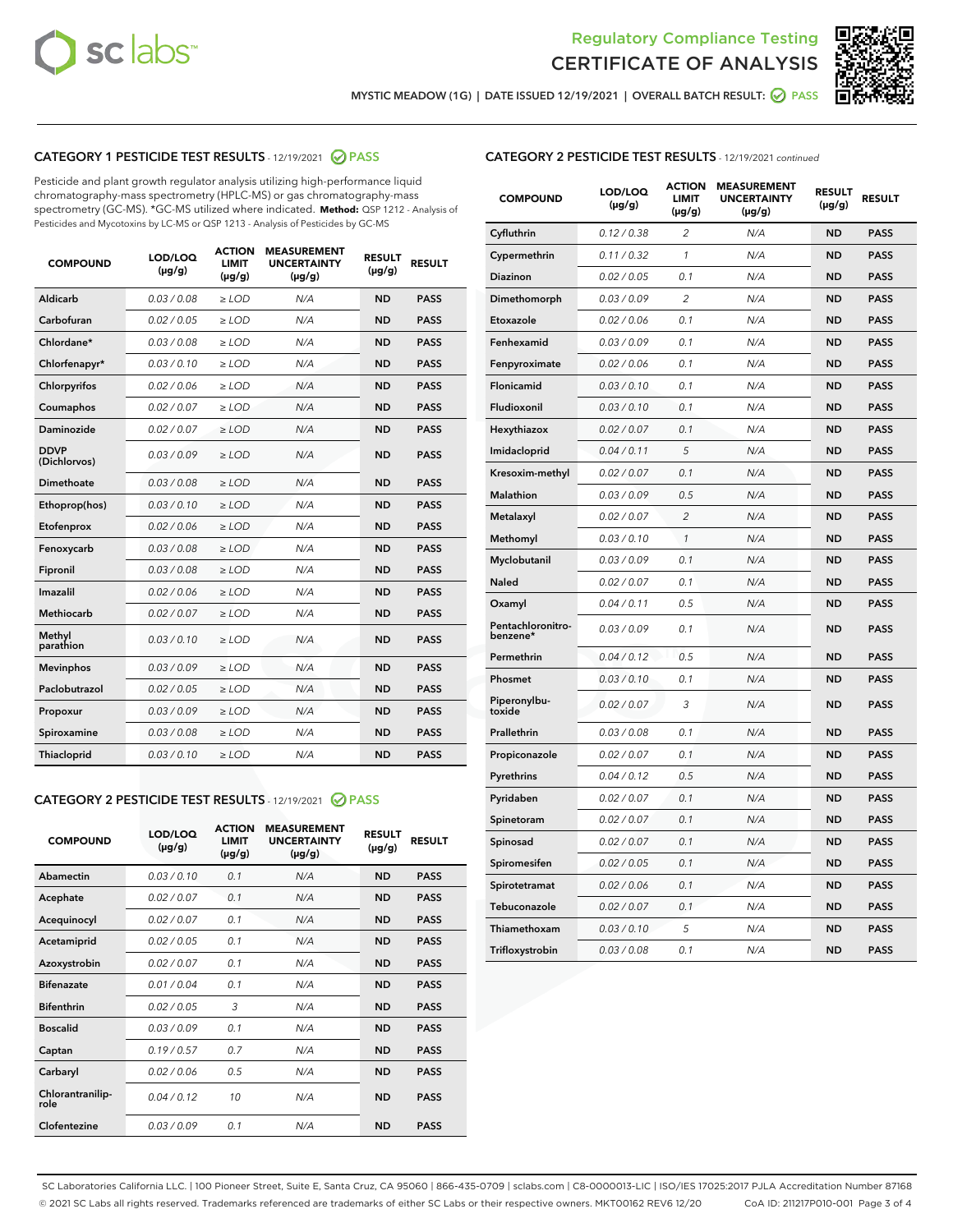



MYSTIC MEADOW (1G) | DATE ISSUED 12/19/2021 | OVERALL BATCH RESULT: **⊘** PASS

# CATEGORY 1 PESTICIDE TEST RESULTS - 12/19/2021 2 PASS

Pesticide and plant growth regulator analysis utilizing high-performance liquid chromatography-mass spectrometry (HPLC-MS) or gas chromatography-mass spectrometry (GC-MS). \*GC-MS utilized where indicated. **Method:** QSP 1212 - Analysis of Pesticides and Mycotoxins by LC-MS or QSP 1213 - Analysis of Pesticides by GC-MS

| <b>COMPOUND</b>             | LOD/LOQ<br>$(\mu g/g)$ | <b>ACTION</b><br><b>LIMIT</b><br>$(\mu g/g)$ | <b>MEASUREMENT</b><br><b>UNCERTAINTY</b><br>$(\mu g/g)$ | <b>RESULT</b><br>$(\mu g/g)$ | <b>RESULT</b> |
|-----------------------------|------------------------|----------------------------------------------|---------------------------------------------------------|------------------------------|---------------|
| Aldicarb                    | 0.03/0.08              | $>$ LOD                                      | N/A                                                     | <b>ND</b>                    | <b>PASS</b>   |
| Carbofuran                  | 0.02 / 0.05            | $\ge$ LOD                                    | N/A                                                     | <b>ND</b>                    | <b>PASS</b>   |
| Chlordane*                  | 0.03/0.08              | $>$ LOD                                      | N/A                                                     | <b>ND</b>                    | <b>PASS</b>   |
| Chlorfenapyr*               | 0.03/0.10              | $\ge$ LOD                                    | N/A                                                     | <b>ND</b>                    | <b>PASS</b>   |
| Chlorpyrifos                | 0.02 / 0.06            | $\ge$ LOD                                    | N/A                                                     | <b>ND</b>                    | <b>PASS</b>   |
| Coumaphos                   | 0.02 / 0.07            | $\ge$ LOD                                    | N/A                                                     | <b>ND</b>                    | <b>PASS</b>   |
| Daminozide                  | 0.02 / 0.07            | $\ge$ LOD                                    | N/A                                                     | <b>ND</b>                    | <b>PASS</b>   |
| <b>DDVP</b><br>(Dichlorvos) | 0.03/0.09              | $\ge$ LOD                                    | N/A                                                     | <b>ND</b>                    | <b>PASS</b>   |
| <b>Dimethoate</b>           | 0.03 / 0.08            | $\ge$ LOD                                    | N/A                                                     | <b>ND</b>                    | <b>PASS</b>   |
| Ethoprop(hos)               | 0.03/0.10              | $\ge$ LOD                                    | N/A                                                     | <b>ND</b>                    | <b>PASS</b>   |
| Etofenprox                  | 0.02 / 0.06            | $\ge$ LOD                                    | N/A                                                     | <b>ND</b>                    | <b>PASS</b>   |
| Fenoxycarb                  | 0.03 / 0.08            | $\ge$ LOD                                    | N/A                                                     | <b>ND</b>                    | <b>PASS</b>   |
| Fipronil                    | 0.03/0.08              | $>$ LOD                                      | N/A                                                     | <b>ND</b>                    | <b>PASS</b>   |
| Imazalil                    | 0.02 / 0.06            | $\ge$ LOD                                    | N/A                                                     | <b>ND</b>                    | <b>PASS</b>   |
| <b>Methiocarb</b>           | 0.02 / 0.07            | $\ge$ LOD                                    | N/A                                                     | <b>ND</b>                    | <b>PASS</b>   |
| Methyl<br>parathion         | 0.03/0.10              | $\ge$ LOD                                    | N/A                                                     | <b>ND</b>                    | <b>PASS</b>   |
| <b>Mevinphos</b>            | 0.03/0.09              | $\ge$ LOD                                    | N/A                                                     | <b>ND</b>                    | <b>PASS</b>   |
| Paclobutrazol               | 0.02 / 0.05            | $>$ LOD                                      | N/A                                                     | <b>ND</b>                    | <b>PASS</b>   |
| Propoxur                    | 0.03/0.09              | $\ge$ LOD                                    | N/A                                                     | <b>ND</b>                    | <b>PASS</b>   |
| Spiroxamine                 | 0.03 / 0.08            | $\ge$ LOD                                    | N/A                                                     | <b>ND</b>                    | <b>PASS</b>   |
| Thiacloprid                 | 0.03/0.10              | $\ge$ LOD                                    | N/A                                                     | <b>ND</b>                    | <b>PASS</b>   |

#### CATEGORY 2 PESTICIDE TEST RESULTS - 12/19/2021 @ PASS

| <b>COMPOUND</b>          | LOD/LOO<br>$(\mu g/g)$ | <b>ACTION</b><br>LIMIT<br>$(\mu g/g)$ | <b>MEASUREMENT</b><br><b>UNCERTAINTY</b><br>$(\mu g/g)$ | <b>RESULT</b><br>$(\mu g/g)$ | <b>RESULT</b> |  |
|--------------------------|------------------------|---------------------------------------|---------------------------------------------------------|------------------------------|---------------|--|
| Abamectin                | 0.03/0.10              | 0.1                                   | N/A                                                     | <b>ND</b>                    | <b>PASS</b>   |  |
| Acephate                 | 0.02/0.07              | 0.1                                   | N/A                                                     | <b>ND</b>                    | <b>PASS</b>   |  |
| Acequinocyl              | 0.02/0.07              | 0.1                                   | N/A                                                     | <b>ND</b>                    | <b>PASS</b>   |  |
| Acetamiprid              | 0.02 / 0.05            | 0.1                                   | N/A                                                     | <b>ND</b>                    | <b>PASS</b>   |  |
| Azoxystrobin             | 0.02/0.07              | 0.1                                   | N/A                                                     | <b>ND</b>                    | <b>PASS</b>   |  |
| <b>Bifenazate</b>        | 0.01 / 0.04            | 0.1                                   | N/A                                                     | <b>ND</b>                    | <b>PASS</b>   |  |
| <b>Bifenthrin</b>        | 0.02 / 0.05            | 3                                     | N/A                                                     | <b>ND</b>                    | <b>PASS</b>   |  |
| <b>Boscalid</b>          | 0.03/0.09              | 0.1                                   | N/A                                                     | <b>ND</b>                    | <b>PASS</b>   |  |
| Captan                   | 0.19/0.57              | 0.7                                   | N/A                                                     | <b>ND</b>                    | <b>PASS</b>   |  |
| Carbaryl                 | 0.02/0.06              | 0.5                                   | N/A                                                     | <b>ND</b>                    | <b>PASS</b>   |  |
| Chlorantranilip-<br>role | 0.04/0.12              | 10                                    | N/A                                                     | <b>ND</b>                    | <b>PASS</b>   |  |
| Clofentezine             | 0.03/0.09              | 0.1                                   | N/A                                                     | <b>ND</b>                    | <b>PASS</b>   |  |

## CATEGORY 2 PESTICIDE TEST RESULTS - 12/19/2021 continued

| <b>COMPOUND</b>               | LOD/LOQ<br>(µg/g) | <b>ACTION</b><br><b>LIMIT</b><br>$(\mu g/g)$ | <b>MEASUREMENT</b><br><b>UNCERTAINTY</b><br>$(\mu g/g)$ | <b>RESULT</b><br>(µg/g) | <b>RESULT</b> |
|-------------------------------|-------------------|----------------------------------------------|---------------------------------------------------------|-------------------------|---------------|
| Cyfluthrin                    | 0.12 / 0.38       | 2                                            | N/A                                                     | <b>ND</b>               | <b>PASS</b>   |
| Cypermethrin                  | 0.11/0.32         | 1                                            | N/A                                                     | ND                      | <b>PASS</b>   |
| <b>Diazinon</b>               | 0.02 / 0.05       | 0.1                                          | N/A                                                     | ND                      | <b>PASS</b>   |
| Dimethomorph                  | 0.03 / 0.09       | 2                                            | N/A                                                     | ND                      | <b>PASS</b>   |
| Etoxazole                     | 0.02 / 0.06       | 0.1                                          | N/A                                                     | ND                      | <b>PASS</b>   |
| Fenhexamid                    | 0.03 / 0.09       | 0.1                                          | N/A                                                     | ND                      | <b>PASS</b>   |
| Fenpyroximate                 | 0.02 / 0.06       | 0.1                                          | N/A                                                     | ND                      | PASS          |
| <b>Flonicamid</b>             | 0.03 / 0.10       | 0.1                                          | N/A                                                     | ND                      | <b>PASS</b>   |
| Fludioxonil                   | 0.03 / 0.10       | 0.1                                          | N/A                                                     | <b>ND</b>               | <b>PASS</b>   |
| Hexythiazox                   | 0.02 / 0.07       | 0.1                                          | N/A                                                     | <b>ND</b>               | <b>PASS</b>   |
| Imidacloprid                  | 0.04 / 0.11       | 5                                            | N/A                                                     | ND                      | <b>PASS</b>   |
| Kresoxim-methyl               | 0.02 / 0.07       | 0.1                                          | N/A                                                     | <b>ND</b>               | <b>PASS</b>   |
| Malathion                     | 0.03 / 0.09       | 0.5                                          | N/A                                                     | ND                      | <b>PASS</b>   |
| Metalaxyl                     | 0.02 / 0.07       | $\overline{2}$                               | N/A                                                     | ND                      | <b>PASS</b>   |
| Methomyl                      | 0.03 / 0.10       | $\mathbf{1}$                                 | N/A                                                     | ND                      | <b>PASS</b>   |
| Myclobutanil                  | 0.03 / 0.09       | 0.1                                          | N/A                                                     | ND                      | <b>PASS</b>   |
| Naled                         | 0.02 / 0.07       | 0.1                                          | N/A                                                     | ND                      | <b>PASS</b>   |
| Oxamyl                        | 0.04 / 0.11       | 0.5                                          | N/A                                                     | <b>ND</b>               | <b>PASS</b>   |
| Pentachloronitro-<br>benzene* | 0.03/0.09         | 0.1                                          | N/A                                                     | ND                      | <b>PASS</b>   |
| Permethrin                    | 0.04 / 0.12       | 0.5                                          | N/A                                                     | ND                      | <b>PASS</b>   |
| Phosmet                       | 0.03 / 0.10       | 0.1                                          | N/A                                                     | <b>ND</b>               | <b>PASS</b>   |
| Piperonylbu-<br>toxide        | 0.02 / 0.07       | 3                                            | N/A                                                     | ND                      | <b>PASS</b>   |
| Prallethrin                   | 0.03 / 0.08       | 0.1                                          | N/A                                                     | ND                      | <b>PASS</b>   |
| Propiconazole                 | 0.02 / 0.07       | 0.1                                          | N/A                                                     | ND                      | <b>PASS</b>   |
| Pyrethrins                    | 0.04 / 0.12       | 0.5                                          | N/A                                                     | <b>ND</b>               | <b>PASS</b>   |
| Pyridaben                     | 0.02 / 0.07       | 0.1                                          | N/A                                                     | ND                      | <b>PASS</b>   |
| Spinetoram                    | 0.02 / 0.07       | 0.1                                          | N/A                                                     | ND                      | <b>PASS</b>   |
| Spinosad                      | 0.02 / 0.07       | 0.1                                          | N/A                                                     | ND                      | <b>PASS</b>   |
| Spiromesifen                  | 0.02 / 0.05       | 0.1                                          | N/A                                                     | ND                      | <b>PASS</b>   |
| Spirotetramat                 | 0.02 / 0.06       | 0.1                                          | N/A                                                     | ND                      | <b>PASS</b>   |
| Tebuconazole                  | 0.02 / 0.07       | 0.1                                          | N/A                                                     | <b>ND</b>               | <b>PASS</b>   |
| Thiamethoxam                  | 0.03 / 0.10       | 5                                            | N/A                                                     | ND                      | <b>PASS</b>   |
| Trifloxystrobin               | 0.03 / 0.08       | 0.1                                          | N/A                                                     | <b>ND</b>               | <b>PASS</b>   |

SC Laboratories California LLC. | 100 Pioneer Street, Suite E, Santa Cruz, CA 95060 | 866-435-0709 | sclabs.com | C8-0000013-LIC | ISO/IES 17025:2017 PJLA Accreditation Number 87168 © 2021 SC Labs all rights reserved. Trademarks referenced are trademarks of either SC Labs or their respective owners. MKT00162 REV6 12/20 CoA ID: 211217P010-001 Page 3 of 4